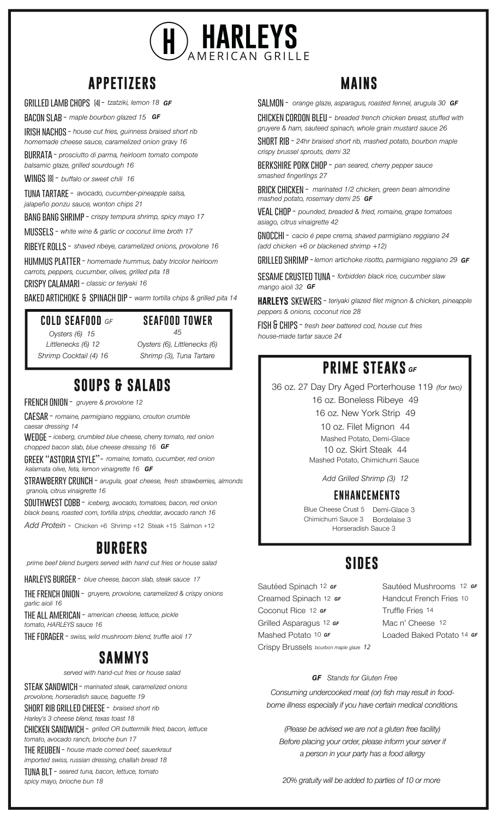

## **APPETIZERS MAINS**

**grilled lamb chops -** *tzatziki, lemon 18 GF* **(4)**

**bacon slab -** *maple bourbon glazed 15 GF*

*house cut fries, guinness braised short rib* **irish nachos -**

*homemade cheese sauce, caramelized onion gravy 16*

**burrata -** *prosciutto di parma, heirloom tomato compote*

*balsamic glaze, grilled sourdough 16*

**wings -** *buffalo or sweet chili 16* **(8)**

*avocado, cucumber-pineapple salsa,* **tuna tartare**  *jalapeño ponzu sauce, wonton chips 21*

*crispy tempura shrimp, spicy mayo 17* **bang bang shrimp -**

**mussels -** *white wine & garlic or coconut lime broth 17*

**ribeye rolls -** *shaved ribeye, caramelized onions, provolone 16*

*homemade hummus, baby tricolor heirloom* **hummus platter**  *carrots, peppers, cucumber, olives, grilled pita 18*

**crispy calamari -** *classic or teriyaki 16*

**baked artichoke spinach dip -** *warm tortilla chips & grilled pita 14* **&**

#### **COLD SEAFOOD** *GF*

*Oysters (6) 15 Littlenecks (6) 12 Shrimp Cocktail (4) 16* **SEAFOOD TOWER** *45*

*Oysters (6), Littlenecks (6) Shrimp (3), Tuna Tartare*

## **SOUPS & SALADS**

**french onion -** *gruyere & provolone 12*

*romaine, parmigiano reggiano, crouton crumble* **caesar**  *caesar dressing 14*

**wedge -** *iceberg, crumbled blue cheese, cherry tomato, red onion chopped bacon slab, blue cheese dressing 16 GF*

**greek "astoria style"-** *romaine, tomato, cucumber, red onion kalamata olive, feta, lemon vinaigrette 16 GF*

 $\mathsf{STRAWBERRY}$   $\mathsf{CRUNCH}$  -  $\mathsf{arugula}$ ,  $\mathsf{goat}$   $\mathsf{cheese},$   $\mathsf{fresh}$   $\mathsf{straw}$ berries,  $\mathsf{a}$ lmonds *granola, citrus vinaigrette 16*

*iceberg, avocado, tomatoes, bacon, red onion* **southwest cobb**  *black beans, roasted corn, tortilla strips, cheddar, avocado ranch 16*

*Add Protein -* Chicken +6 Shrimp +12 Steak +15 Salmon +12

## **BURGERS**

*prime beef blend burgers served with hand cut fries or house salad*

**harleys burger -** *blue cheese, bacon slab, steak sauce 17*

**the french onion -** *gruyere, provolone, caramelized & crispy onions garlic aioli 16*

**the all american -** *american cheese, lettuce, pickle tomato, HARLEYS sauce 16*

**the forager -** *swiss, wild mushroom blend, truffle aioli 17*

## **SAMMYS**

*served with hand-cut fries or house salad*

**steak sandwich -** *marinated steak, caramelized onions provolone, horseradish sauce, baguette 19 braised short rib* **short rib grilled cheese -** *Harley's 3 cheese blend, texas toast 18* **chicken sandwich -** *grilled OR buttermilk fried, bacon, lettuce tomato, avocado ranch, brioche bun 17* **the reuben -** *house made corned beef, sauerkraut imported swiss, russian dressing, challah bread 18* **tuna blt -** *seared tuna, bacon, lettuce, tomato spicy mayo, brioche bun 18*

**salmon -** *GF orange glaze, asparagus, roasted fennel, arugula 30*

**chicken cordon bleu -** *breaded french chicken breast, stuffed with gruyere & ham, sauteed spinach, whole grain mustard sauce 26*

**short rib -** *24hr braised short rib, mashed potato, bourbon maple crispy brussel sprouts, demi 32*

**berkshire pork chop -** *pan seared, cherry pepper sauce smashed fingerlings 27*

*marinated 1/2 chicken, green bean almondine* **brick chicken**  *mashed potato, rosemary demi 25 GF*

**veal chop -** *pounded, breaded & fried, romaine, grape tomatoes asiago, citrus vinaigrette 42*

**gnocchi -** *cacio é pepe crema, shaved parmigiano reggiano 24 (add chicken +6 or blackened shrimp +12)*

**grilled shrimp -***lemon artichoke risotto, parmigiano reggiano 29 GF*

**sesame crusted tuna -** *forbidden black rice, cucumber slaw mango aioli 32 GF*

**skewers -** *teriyaki glazed filet mignon & chicken, pineapple* **harleys** *peppers & onions, coconut rice 28*

**fish & chips -** *fresh beer battered cod, house cut fries house-made tartar sauce 24*

## **PRIME STEAKS** *GF*

36 oz. 27 Day Dry Aged Porterhouse 119 *(for two)*16 oz. Boneless Ribeye 49

16 oz. New York Strip 49

10 oz. Filet Mignon 44 Mashed Potato, Demi-Glace 10 oz. Skirt Steak 44 Mashed Potato, Chimichurri Sauce

*Add Grilled Shrimp (3) 12*

#### **ENHANCEMENTS**

Blue Cheese Crust 5 Demi-Glace 3 Chimichurri Sauce 3 Bordelaise 3 Horseradish Sauce 3

## **SIDES**

Sautéed Spinach <sup>12</sup> er Creamed Spinach 12 **GF** Coconut Rice 12 **GF** Grilled Asparagus 12 **GF** Mashed Potato <sup>10 GF</sup> Crispy Brussels *12 bourbon maple glaze* Sautéed Mushrooms 12 *GF* Handcut French Fries 10 Truffle Fries 14 Mac n' Cheese 12 Loaded Baked Potato 14 **GF** 

#### *Stands for Gluten Free GF*

*Consuming undercooked meat (or) fish may result in foodborne illness especially if you have certain medical conditions.*

*(Please be advised we are not a gluten free facility) Before placing your order, please inform your server if a person in your party has a food allergy*

*20% gratuity will be added to parties of 10 or more*